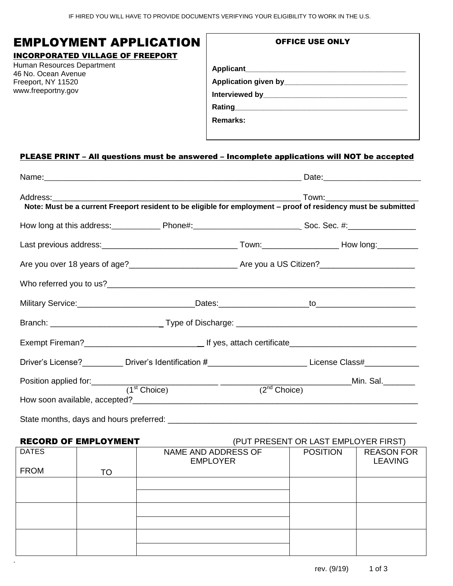# EMPLOYMENT APPLICATION

## INCORPORATED VILLAGE OF FREEPORT

Human Resources Department 46 No. Ocean Avenue Freeport, NY 11520 www.freeportny.gov

.

| Rating 2008 2010 2021 2022 2023 2024 2022 2022 2023 2024 2022 2023 2024 2022 2023 2024 2025 2026 2027 2028 20 |  |
|---------------------------------------------------------------------------------------------------------------|--|
| Remarks:                                                                                                      |  |
|                                                                                                               |  |

### PLEASE PRINT – All questions must be answered – Incomplete applications will NOT be accepted

|  |                          |                   | How long at this address: ___________________Phone#:__________________________________Soc. Sec. #:____________ |
|--|--------------------------|-------------------|----------------------------------------------------------------------------------------------------------------|
|  |                          |                   |                                                                                                                |
|  |                          |                   |                                                                                                                |
|  |                          |                   |                                                                                                                |
|  |                          |                   |                                                                                                                |
|  |                          |                   |                                                                                                                |
|  |                          |                   |                                                                                                                |
|  |                          |                   | Driver's License?____________ Driver's Identification #__________________________ License Class#_____________  |
|  | (1 <sup>st</sup> Choice) | $(2^{nd}$ Choice) |                                                                                                                |
|  |                          |                   |                                                                                                                |
|  |                          |                   |                                                                                                                |

#### RECORD OF EMPLOYMENT (PUT PRESENT OR LAST EMPLOYER FIRST)

|              |    |                                        | _________       |                                     |
|--------------|----|----------------------------------------|-----------------|-------------------------------------|
| <b>DATES</b> |    | NAME AND ADDRESS OF<br><b>EMPLOYER</b> | <b>POSITION</b> | <b>REASON FOR</b><br><b>LEAVING</b> |
| <b>FROM</b>  | TO |                                        |                 |                                     |
|              |    |                                        |                 |                                     |
|              |    |                                        |                 |                                     |
|              |    |                                        |                 |                                     |
|              |    |                                        |                 |                                     |
|              |    |                                        |                 |                                     |
|              |    |                                        |                 |                                     |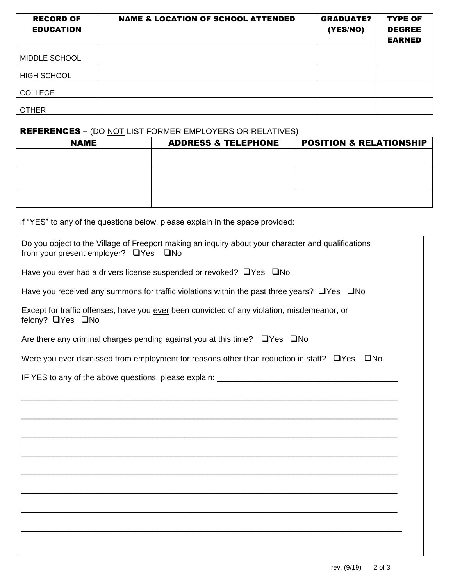| <b>RECORD OF</b><br><b>EDUCATION</b> | <b>NAME &amp; LOCATION OF SCHOOL ATTENDED</b> | <b>GRADUATE?</b><br>(YES/NO) | <b>TYPE OF</b><br><b>DEGREE</b><br><b>EARNED</b> |
|--------------------------------------|-----------------------------------------------|------------------------------|--------------------------------------------------|
| MIDDLE SCHOOL                        |                                               |                              |                                                  |
| <b>HIGH SCHOOL</b>                   |                                               |                              |                                                  |
| <b>COLLEGE</b>                       |                                               |                              |                                                  |
| <b>OTHER</b>                         |                                               |                              |                                                  |

# REFERENCES – (DO NOT LIST FORMER EMPLOYERS OR RELATIVES)

| <b>NAME</b> | <b>ADDRESS &amp; TELEPHONE</b> | <b>POSITION &amp; RELATIONSHIP</b> |
|-------------|--------------------------------|------------------------------------|
|             |                                |                                    |
|             |                                |                                    |
|             |                                |                                    |
|             |                                |                                    |
|             |                                |                                    |
|             |                                |                                    |

If "YES" to any of the questions below, please explain in the space provided:

| Do you object to the Village of Freeport making an inquiry about your character and qualifications<br>from your present employer? □ Yes □ No |
|----------------------------------------------------------------------------------------------------------------------------------------------|
| Have you ever had a drivers license suspended or revoked? $\Box$ Yes $\Box$ No                                                               |
| Have you received any summons for traffic violations within the past three years? $\Box$ Yes $\Box$ No                                       |
| Except for traffic offenses, have you ever been convicted of any violation, misdemeanor, or<br>felony? □ Yes □ No                            |
| Are there any criminal charges pending against you at this time? $\Box$ Yes $\Box$ No                                                        |
| Were you ever dismissed from employment for reasons other than reduction in staff? $\Box$ Yes $\Box$ No                                      |
|                                                                                                                                              |
|                                                                                                                                              |
|                                                                                                                                              |
|                                                                                                                                              |
| ,我们也不能在这里的人,我们也不能在这里的人,我们也不能在这里的人,我们也不能在这里的人,我们也不能在这里的人,我们也不能在这里的人,我们也不能在这里的人,我们也                                                            |
|                                                                                                                                              |
|                                                                                                                                              |
|                                                                                                                                              |
|                                                                                                                                              |
|                                                                                                                                              |
|                                                                                                                                              |